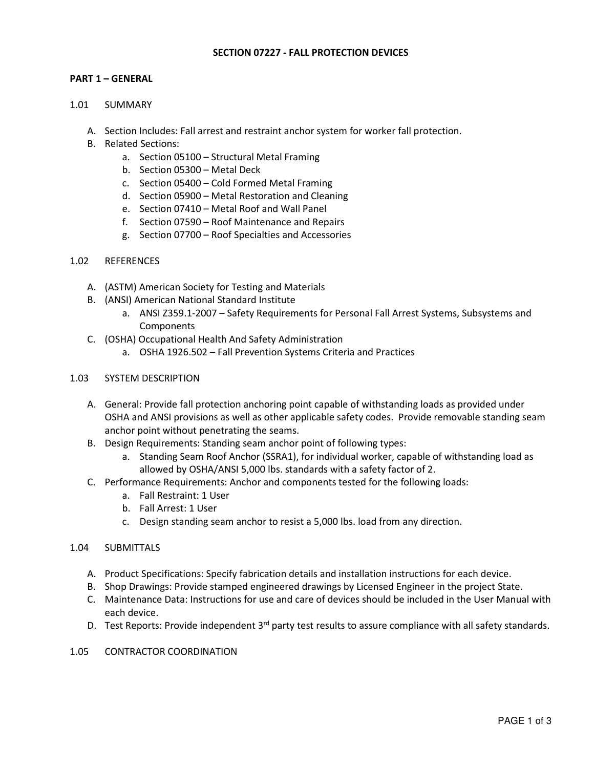### SECTION 07227 - FALL PROTECTION DEVICES

## PART 1 – GENERAL

#### 1.01 SUMMARY

- A. Section Includes: Fall arrest and restraint anchor system for worker fall protection.
- B. Related Sections:
	- a. Section 05100 Structural Metal Framing
	- b. Section 05300 Metal Deck
	- c. Section 05400 Cold Formed Metal Framing
	- d. Section 05900 Metal Restoration and Cleaning
	- e. Section 07410 Metal Roof and Wall Panel
	- f. Section 07590 Roof Maintenance and Repairs
	- g. Section 07700 Roof Specialties and Accessories

#### 1.02 REFERENCES

- A. (ASTM) American Society for Testing and Materials
- B. (ANSI) American National Standard Institute
	- a. ANSI Z359.1-2007 Safety Requirements for Personal Fall Arrest Systems, Subsystems and **Components**
- C. (OSHA) Occupational Health And Safety Administration
	- a. OSHA 1926.502 Fall Prevention Systems Criteria and Practices

## 1.03 SYSTEM DESCRIPTION

- A. General: Provide fall protection anchoring point capable of withstanding loads as provided under OSHA and ANSI provisions as well as other applicable safety codes. Provide removable standing seam anchor point without penetrating the seams.
- B. Design Requirements: Standing seam anchor point of following types:
	- a. Standing Seam Roof Anchor (SSRA1), for individual worker, capable of withstanding load as allowed by OSHA/ANSI 5,000 lbs. standards with a safety factor of 2.
- C. Performance Requirements: Anchor and components tested for the following loads:
	- a. Fall Restraint: 1 User
	- b. Fall Arrest: 1 User
	- c. Design standing seam anchor to resist a 5,000 lbs. load from any direction.

#### 1.04 SUBMITTALS

- A. Product Specifications: Specify fabrication details and installation instructions for each device.
- B. Shop Drawings: Provide stamped engineered drawings by Licensed Engineer in the project State.
- C. Maintenance Data: Instructions for use and care of devices should be included in the User Manual with each device.
- D. Test Reports: Provide independent 3<sup>rd</sup> party test results to assure compliance with all safety standards.
- 1.05 CONTRACTOR COORDINATION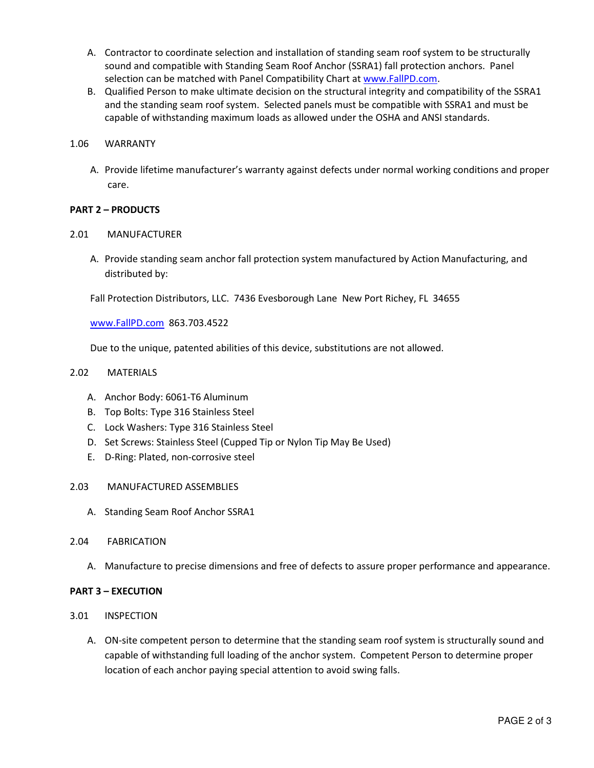- A. Contractor to coordinate selection and installation of standing seam roof system to be structurally sound and compatible with Standing Seam Roof Anchor (SSRA1) fall protection anchors. Panel selection can be matched with Panel Compatibility Chart at www.FallPD.com.
- B. Qualified Person to make ultimate decision on the structural integrity and compatibility of the SSRA1 and the standing seam roof system. Selected panels must be compatible with SSRA1 and must be capable of withstanding maximum loads as allowed under the OSHA and ANSI standards.

## 1.06 WARRANTY

A. Provide lifetime manufacturer's warranty against defects under normal working conditions and proper care.

## PART 2 – PRODUCTS

## 2.01 MANUFACTURER

A. Provide standing seam anchor fall protection system manufactured by Action Manufacturing, and distributed by:

Fall Protection Distributors, LLC. 7436 Evesborough Lane New Port Richey, FL 34655

www.FallPD.com 863.703.4522

Due to the unique, patented abilities of this device, substitutions are not allowed.

# 2.02 MATERIALS

- A. Anchor Body: 6061-T6 Aluminum
- B. Top Bolts: Type 316 Stainless Steel
- C. Lock Washers: Type 316 Stainless Steel
- D. Set Screws: Stainless Steel (Cupped Tip or Nylon Tip May Be Used)
- E. D-Ring: Plated, non-corrosive steel

#### 2.03 MANUFACTURED ASSEMBLIES

- A. Standing Seam Roof Anchor SSRA1
- 2.04 FABRICATION
	- A. Manufacture to precise dimensions and free of defects to assure proper performance and appearance.

#### PART 3 – EXECUTION

- 3.01 INSPECTION
	- A. ON-site competent person to determine that the standing seam roof system is structurally sound and capable of withstanding full loading of the anchor system. Competent Person to determine proper location of each anchor paying special attention to avoid swing falls.